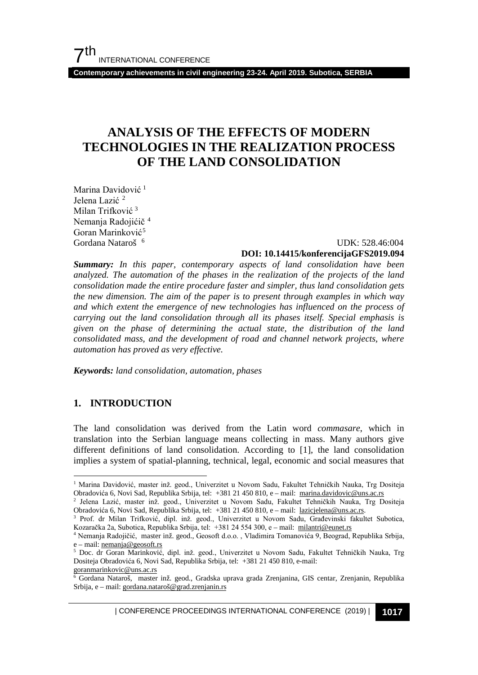**Contemporary achievements in civil engineering 23-24. April 2019. Subotica, SERBIA**

# **ANALYSIS OF THE EFFECTS OF MODERN TECHNOLOGIES IN THE REALIZATION PROCESS OF THE LAND CONSOLIDATION**

Marina Davidović<sup>[1](#page-0-0)</sup> Jelena Lazić<sup>[2](#page-0-1)</sup> Milan Trifković [3](#page-0-2) Nemanja Radojićič [4](#page-0-3) Goran Marinković<sup>[5](#page-0-4)</sup> Gordana Nataroš [6](#page-0-5)

### UDK: 528.46:004 **DOI: 10.14415/konferencijaGFS2019.094**

*Summary: In this paper, contemporary aspects of land consolidation have been analyzed. The automation of the phases in the realization of the projects of the land consolidation made the entire procedure faster and simpler, thus land consolidation gets the new dimension. The aim of the paper is to present through examples in which way and which extent the emergence of new technologies has influenced on the process of carrying out the land consolidation through all its phases itself. Special emphasis is given on the phase of determining the actual state, the distribution of the land consolidated mass, and the development of road and channel network projects, where automation has proved as very effective.*

*Keywords: land consolidation, automation, phases*

### **1. INTRODUCTION**

The land consolidation was derived from the Latin word *commasare*, which in translation into the Serbian language means collecting in mass. Many authors give different definitions of land consolidation. According to [1], the land consolidation implies a system of spatial-planning, technical, legal, economic and social measures that

<span id="page-0-0"></span><sup>&</sup>lt;sup>1</sup> Marina Davidović, master inž. geod., Univerzitet u Novom Sadu, Fakultet Tehničkih Nauka, Trg Dositeja Obradovića 6, Novi Sad, Republika Srbija, tel: +381 21 450 810, e – mail: [marina.davidovic@uns.ac.rs](mailto:marina.davidovic@uns.ac.rs)

<span id="page-0-1"></span><sup>2</sup> Jelena Lazić, master inž. geod., Univerzitet u Novom Sadu, Fakultet Tehničkih Nauka, Trg Dositeja Obradovića 6, Novi Sad, Republika Srbija, tel: +381 21 450 810, e – mail: [lazicjelena@uns.ac.rs.](mailto:lazicjelena@uns.ac.rs)

<span id="page-0-2"></span><sup>3</sup> Prof. dr Milan Trifković, dipl. inž. geod., Univerzitet u Novom Sadu, Građevinski fakultet Subotica, Kozaračka 2a, Subotica, Republika Srbija, tel: +381 24 554 300, e – mail: [milantri@eunet.rs](mailto:milantri@eunet.rs)

<span id="page-0-3"></span><sup>4</sup> Nemanja Radojičić, master inž. geod., Geosoft d.o.o. , Vladimira Tomanovića 9, Beograd, Republika Srbija, e – mail: <u>nemanja@geosoft.rs</u><br><sup>5</sup> Doc. dr. Goran Marinković

<span id="page-0-4"></span><sup>5</sup> Doc. dr Goran Marinković, dipl. inž. geod., Univerzitet u Novom Sadu, Fakultet Tehničkih Nauka, Trg Dositeja Obradovića 6, Novi Sad, Republika Srbija, tel: +381 21 450 810, e-mail:

[goranmarinkovic@uns.ac.rs](mailto:goranmarinkovic@uns.ac.rs)

<span id="page-0-5"></span><sup>6</sup> Gordana Nataroš, master inž. geod., Gradska uprava grada Zrenjanina, GIS centar, Zrenjanin, Republika Srbija, e – mail[: gordana.nataroš@grad.zrenjanin.rs](mailto:gordana.nataro%C5%A1@grad.zrenjanin.rs)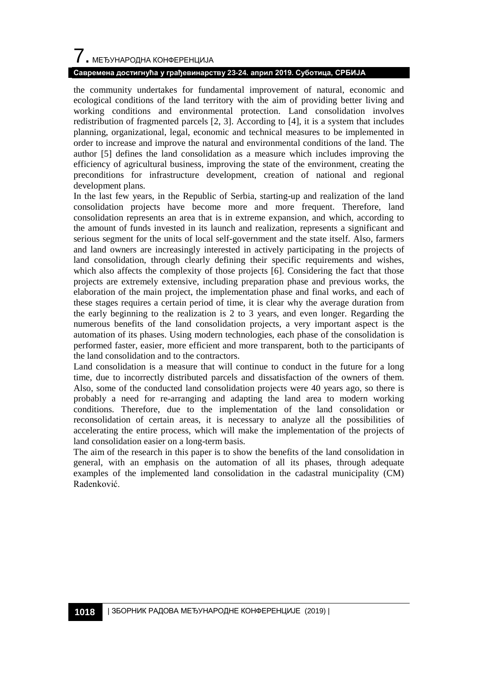# $\overline{\phantom{a}}$ . МЕЂУНАРОДНА КОНФЕРЕНЦИЈА

### **Савремена достигнућа у грађевинарству 23-24. април 2019. Суботица, СРБИЈА**

the community undertakes for fundamental improvement of natural, economic and ecological conditions of the land territory with the aim of providing better living and working conditions and environmental protection. Land consolidation involves redistribution of fragmented parcels [2, 3]. According to [4], it is a system that includes planning, organizational, legal, economic and technical measures to be implemented in order to increase and improve the natural and environmental conditions of the land. The author [5] defines the land consolidation as a measure which includes improving the efficiency of agricultural business, improving the state of the environment, creating the preconditions for infrastructure development, creation of national and regional development plans.

In the last few years, in the Republic of Serbia, starting-up and realization of the land consolidation projects have become more and more frequent. Therefore, land consolidation represents an area that is in extreme expansion, and which, according to the amount of funds invested in its launch and realization, represents a significant and serious segment for the units of local self-government and the state itself. Also, farmers and land owners are increasingly interested in actively participating in the projects of land consolidation, through clearly defining their specific requirements and wishes, which also affects the complexity of those projects [6]. Considering the fact that those projects are extremely extensive, including preparation phase and previous works, the elaboration of the main project, the implementation phase and final works, and each of these stages requires a certain period of time, it is clear why the average duration from the early beginning to the realization is 2 to 3 years, and even longer. Regarding the numerous benefits of the land consolidation projects, a very important aspect is the automation of its phases. Using modern technologies, each phase of the consolidation is performed faster, easier, more efficient and more transparent, both to the participants of the land consolidation and to the contractors.

Land consolidation is a measure that will continue to conduct in the future for a long time, due to incorrectly distributed parcels and dissatisfaction of the owners of them. Also, some of the conducted land consolidation projects were 40 years ago, so there is probably a need for re-arranging and adapting the land area to modern working conditions. Therefore, due to the implementation of the land consolidation or reconsolidation of certain areas, it is necessary to analyze all the possibilities of accelerating the entire process, which will make the implementation of the projects of land consolidation easier on a long-term basis.

The aim of the research in this paper is to show the benefits of the land consolidation in general, with an emphasis on the automation of all its phases, through adequate examples of the implemented land consolidation in the cadastral municipality (CM) Radenković.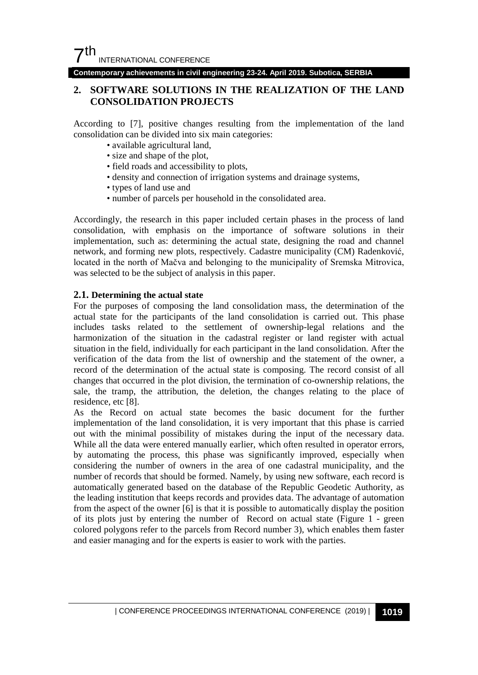**Contemporary achievements in civil engineering 23-24. April 2019. Subotica, SERBIA**

### **2. SOFTWARE SOLUTIONS IN THE REALIZATION OF THE LAND CONSOLIDATION PROJECTS**

According to [7], positive changes resulting from the implementation of the land consolidation can be divided into six main categories:

- available agricultural land,
- size and shape of the plot,
- field roads and accessibility to plots,
- density and connection of irrigation systems and drainage systems,
- types of land use and
- number of parcels per household in the consolidated area.

Accordingly, the research in this paper included certain phases in the process of land consolidation, with emphasis on the importance of software solutions in their implementation, such as: determining the actual state, designing the road and channel network, and forming new plots, respectively. Cadastre municipality (CM) Radenković, located in the north of Mačva and belonging to the municipality of Sremska Mitrovica, was selected to be the subject of analysis in this paper.

### **2.1. Determining the actual state**

For the purposes of composing the land consolidation mass, the determination of the actual state for the participants of the land consolidation is carried out. This phase includes tasks related to the settlement of ownership-legal relations and the harmonization of the situation in the cadastral register or land register with actual situation in the field, individually for each participant in the land consolidation. After the verification of the data from the list of ownership and the statement of the owner, a record of the determination of the actual state is composing. The record consist of all changes that occurred in the plot division, the termination of co-ownership relations, the sale, the tramp, the attribution, the deletion, the changes relating to the place of residence, etc [8].

As the Record on actual state becomes the basic document for the further implementation of the land consolidation, it is very important that this phase is carried out with the minimal possibility of mistakes during the input of the necessary data. While all the data were entered manually earlier, which often resulted in operator errors, by automating the process, this phase was significantly improved, especially when considering the number of owners in the area of one cadastral municipality, and the number of records that should be formed. Namely, by using new software, each record is automatically generated based on the database of the Republic Geodetic Authority, as the leading institution that keeps records and provides data. The advantage of automation from the aspect of the owner [6] is that it is possible to automatically display the position of its plots just by entering the number of Record on actual state (Figure 1 - green colored polygons refer to the parcels from Record number 3), which enables them faster and easier managing and for the experts is easier to work with the parties.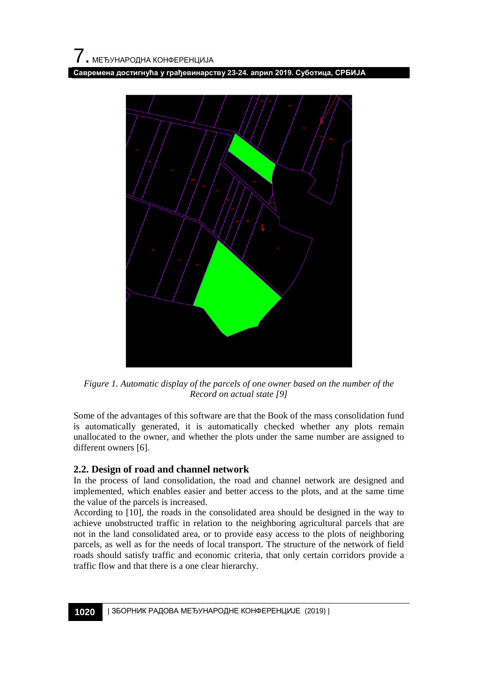**Савремена достигнућа у грађевинарству 23-24. април 2019. Суботица, СРБИЈА**



*Figure 1. Automatic display of the parcels of one owner based on the number of the Record on actual state [9]*

Some of the advantages of this software are that the Book of the mass consolidation fund is automatically generated, it is automatically checked whether any plots remain unallocated to the owner, and whether the plots under the same number are assigned to different owners [6].

### **2.2. Design of road and channel network**

In the process of land consolidation, the road and channel network are designed and implemented, which enables easier and better access to the plots, and at the same time the value of the parcels is increased.

According to [10], the roads in the consolidated area should be designed in the way to achieve unobstructed traffic in relation to the neighboring agricultural parcels that are not in the land consolidated area, or to provide easy access to the plots of neighboring parcels, as well as for the needs of local transport. The structure of the network of field roads should satisfy traffic and economic criteria, that only certain corridors provide a traffic flow and that there is a one clear hierarchy.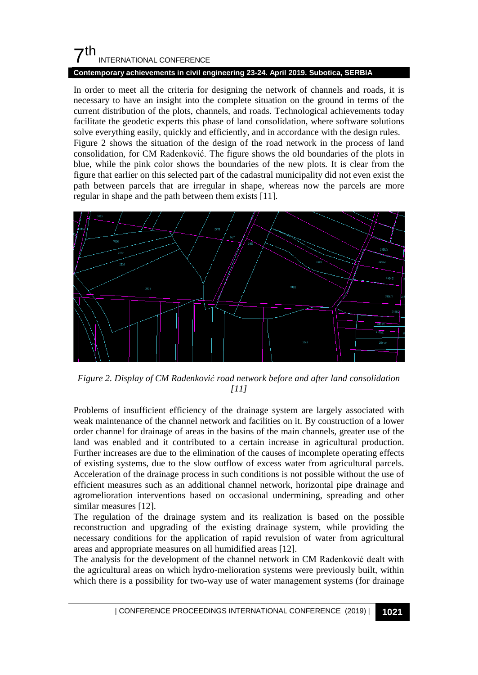## $7<sup>th</sup>$ INTERNATIONAL CONFERENCE

### **Contemporary achievements in civil engineering 23-24. April 2019. Subotica, SERBIA**

In order to meet all the criteria for designing the network of channels and roads, it is necessary to have an insight into the complete situation on the ground in terms of the current distribution of the plots, channels, and roads. Technological achievements today facilitate the geodetic experts this phase of land consolidation, where software solutions solve everything easily, quickly and efficiently, and in accordance with the design rules. Figure 2 shows the situation of the design of the road network in the process of land consolidation, for CM Radenković. The figure shows the old boundaries of the plots in blue, while the pink color shows the boundaries of the new plots. It is clear from the figure that earlier on this selected part of the cadastral municipality did not even exist the path between parcels that are irregular in shape, whereas now the parcels are more regular in shape and the path between them exists [11].



*Figure 2. Display of CM Radenković road network before and after land consolidation [11]*

Problems of insufficient efficiency of the drainage system are largely associated with weak maintenance of the channel network and facilities on it. By construction of a lower order channel for drainage of areas in the basins of the main channels, greater use of the land was enabled and it contributed to a certain increase in agricultural production. Further increases are due to the elimination of the causes of incomplete operating effects of existing systems, due to the slow outflow of excess water from agricultural parcels. Acceleration of the drainage process in such conditions is not possible without the use of efficient measures such as an additional channel network, horizontal pipe drainage and agromelioration interventions based on occasional undermining, spreading and other similar measures [12].

The regulation of the drainage system and its realization is based on the possible reconstruction and upgrading of the existing drainage system, while providing the necessary conditions for the application of rapid revulsion of water from agricultural areas and appropriate measures on all humidified areas [12].

The analysis for the development of the channel network in CM Radenković dealt with the agricultural areas on which hydro-melioration systems were previously built, within which there is a possibility for two-way use of water management systems (for drainage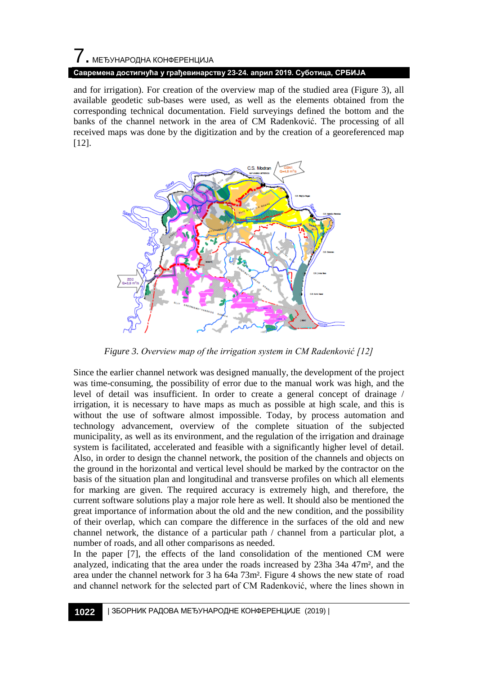# 7. МЕЂУНАРОДНА КОНФЕРЕНЦИЈА **Савремена достигнућа у грађевинарству 23-24. април 2019. Суботица, СРБИЈА**

and for irrigation). For creation of the overview map of the studied area (Figure 3), all available geodetic sub-bases were used, as well as the elements obtained from the corresponding technical documentation. Field surveyings defined the bottom and the banks of the channel network in the area of CM Radenković. The processing of all received maps was done by the digitization and by the creation of a georeferenced map [12].



*Figure 3. Overview map of the irrigation system in CM Radenković [12]*

Since the earlier channel network was designed manually, the development of the project was time-consuming, the possibility of error due to the manual work was high, and the level of detail was insufficient. In order to create a general concept of drainage / irrigation, it is necessary to have maps as much as possible at high scale, and this is without the use of software almost impossible. Today, by process automation and technology advancement, overview of the complete situation of the subjected municipality, as well as its environment, and the regulation of the irrigation and drainage system is facilitated, accelerated and feasible with a significantly higher level of detail. Also, in order to design the channel network, the position of the channels and objects on the ground in the horizontal and vertical level should be marked by the contractor on the basis of the situation plan and longitudinal and transverse profiles on which all elements for marking are given. The required accuracy is extremely high, and therefore, the current software solutions play a major role here as well. It should also be mentioned the great importance of information about the old and the new condition, and the possibility of their overlap, which can compare the difference in the surfaces of the old and new channel network, the distance of a particular path / channel from a particular plot, a number of roads, and all other comparisons as needed.

In the paper [7], the effects of the land consolidation of the mentioned CM were analyzed, indicating that the area under the roads increased by 23ha 34a 47m², and the area under the channel network for 3 ha 64a 73m². Figure 4 shows the new state of road and channel network for the selected part of CM Radenković, where the lines shown in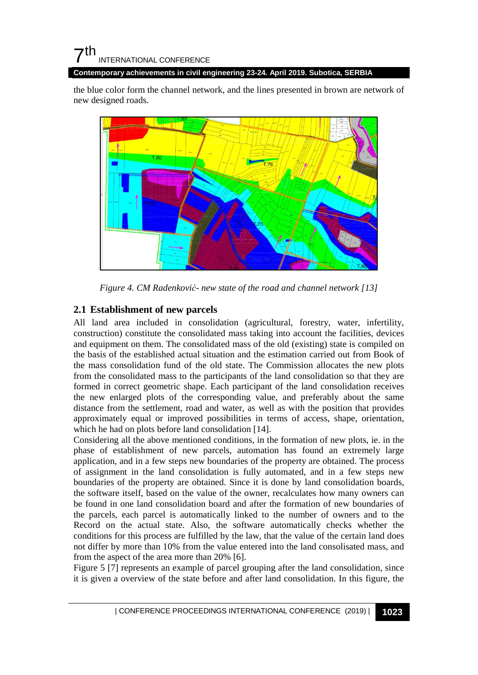## $7<sup>th</sup>$ INTERNATIONAL CONFERENCE

**Contemporary achievements in civil engineering 23-24. April 2019. Subotica, SERBIA**

the blue color form the channel network, and the lines presented in brown are network of new designed roads.



*Figure 4. CM Radenković- new state of the road and channel network [13]*

### **2.1 Establishment of new parcels**

All land area included in consolidation (agricultural, forestry, water, infertility, construction) constitute the consolidated mass taking into account the facilities, devices and equipment on them. The consolidated mass of the old (existing) state is compiled on the basis of the established actual situation and the estimation carried out from Book of the mass consolidation fund of the old state. The Commission allocates the new plots from the consolidated mass to the participants of the land consolidation so that they are formed in correct geometric shape. Each participant of the land consolidation receives the new enlarged plots of the corresponding value, and preferably about the same distance from the settlement, road and water, as well as with the position that provides approximately equal or improved possibilities in terms of access, shape, orientation, which he had on plots before land consolidation [14].

Considering all the above mentioned conditions, in the formation of new plots, ie. in the phase of establishment of new parcels, automation has found an extremely large application, and in a few steps new boundaries of the property are obtained. The process of assignment in the land consolidation is fully automated, and in a few steps new boundaries of the property are obtained. Since it is done by land consolidation boards, the software itself, based on the value of the owner, recalculates how many owners can be found in one land consolidation board and after the formation of new boundaries of the parcels, each parcel is automatically linked to the number of owners and to the Record on the actual state. Also, the software automatically checks whether the conditions for this process are fulfilled by the law, that the value of the certain land does not differ by more than 10% from the value entered into the land consolisated mass, and from the aspect of the area more than 20% [6].

Figure 5 [7] represents an example of parcel grouping after the land consolidation, since it is given a overview of the state before and after land consolidation. In this figure, the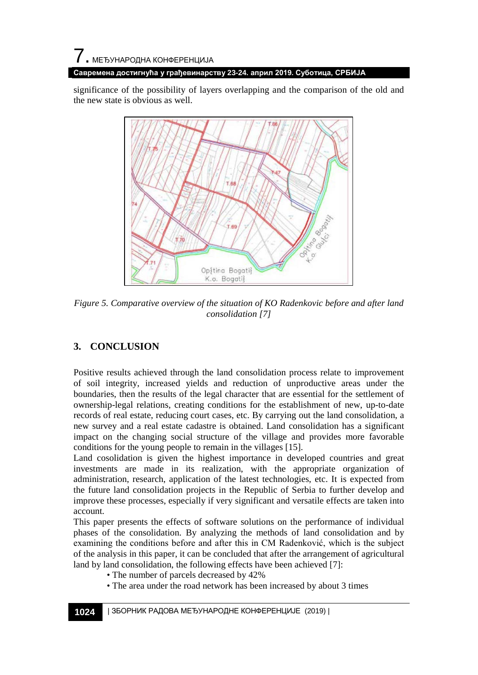significance of the possibility of layers overlapping and the comparison of the old and the new state is obvious as well.



*Figure 5. Comparative overview of the situation of KO Radenkovic before and after land consolidation [7]*

### **3. CONCLUSION**

Positive results achieved through the land consolidation process relate to improvement of soil integrity, increased yields and reduction of unproductive areas under the boundaries, then the results of the legal character that are essential for the settlement of ownership-legal relations, creating conditions for the establishment of new, up-to-date records of real estate, reducing court cases, etc. By carrying out the land consolidation, a new survey and a real estate cadastre is obtained. Land consolidation has a significant impact on the changing social structure of the village and provides more favorable conditions for the young people to remain in the villages [15].

Land cosolidation is given the highest importance in developed countries and great investments are made in its realization, with the appropriate organization of administration, research, application of the latest technologies, etc. It is expected from the future land consolidation projects in the Republic of Serbia to further develop and improve these processes, especially if very significant and versatile effects are taken into account.

This paper presents the effects of software solutions on the performance of individual phases of the consolidation. By analyzing the methods of land consolidation and by examining the conditions before and after this in CM Radenković, which is the subject of the analysis in this paper, it can be concluded that after the arrangement of agricultural land by land consolidation, the following effects have been achieved [7]:

- The number of parcels decreased by 42%
- The area under the road network has been increased by about 3 times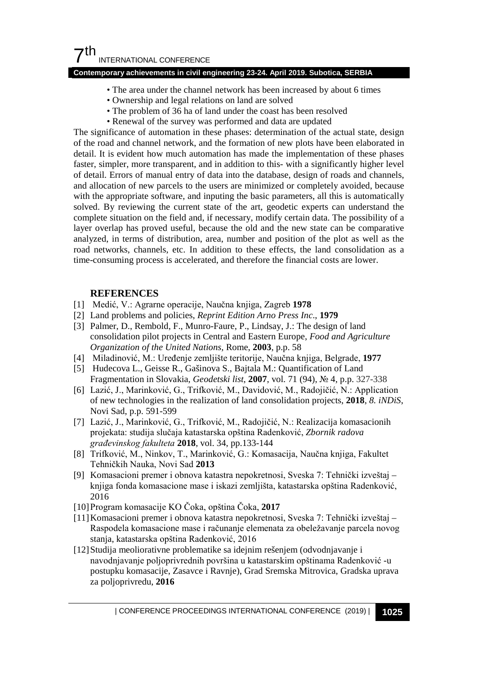### $7<sup>th</sup>$ INTERNATIONAL CONFERENCE

#### **Contemporary achievements in civil engineering 23-24. April 2019. Subotica, SERBIA**

- The area under the channel network has been increased by about 6 times
- Ownership and legal relations on land are solved
- The problem of 36 ha of land under the coast has been resolved
- Renewal of the survey was performed and data are updated

The significance of automation in these phases: determination of the actual state, design of the road and channel network, and the formation of new plots have been elaborated in detail. It is evident how much automation has made the implementation of these phases faster, simpler, more transparent, and in addition to this- with a significantly higher level of detail. Errors of manual entry of data into the database, design of roads and channels, and allocation of new parcels to the users are minimized or completely avoided, because with the appropriate software, and inputing the basic parameters, all this is automatically solved. By reviewing the current state of the art, geodetic experts can understand the complete situation on the field and, if necessary, modify certain data. The possibility of a layer overlap has proved useful, because the old and the new state can be comparative analyzed, in terms of distribution, area, number and position of the plot as well as the road networks, channels, etc. In addition to these effects, the land consolidation as a time-consuming process is accelerated, and therefore the financial costs are lower.

### **REFERENCES**

- [1] Medić, V.: Agrarne operacije, Naučna knjiga, Zagreb **1978**
- [2] Land problems and policies, *Reprint Edition Arno Press Inc*., **1979**
- [3] Palmer, D., Rembold, F., Munro-Faure, P., Lindsay, J.: The design of land consolidation pilot projects in Central and Eastern Europe, *Food and Agriculture Organization of the United Nations,* Rome, **2003**, p.p. 58
- [4] Miladinović, M.: Uređenje zemljište teritorije, Naučna knjiga, Belgrade, **1977**
- [5] Hudecova L., Geisse R., Gašinova S., Bajtala M.: Quantification of Land Fragmentation in Slovakia, *Geodetski list*, **2007**, vol. 71 (94), № 4, p.p. 327-338
- [6] Lazić, J., Marinković, G., Trifković, M., Davidović, M., Radojičić, N.: Application of new technologies in the realization of land consolidation projects, **2018**, *8. iNDiS*, Novi Sad, p.p. 591-599
- [7] Lazić, J., Marinković, G., Trifković, M., Radojičić, N.: Realizacija komasacionih projekata: studija slučaja katastarska opština Radenković, *Zbornik radova građevinskog fakulteta* **2018**, vol. 34, pp.133-144
- [8] Trifković, M., Ninkov, T., Marinković, G.: Komasacija, Naučna knjiga, Fakultet Tehničkih Nauka, Novi Sad **2013**
- [9] Komasacioni premer i obnova katastra nepokretnosi, Sveska 7: Tehnički izveštaj knjiga fonda komasacione mase i iskazi zemljišta, katastarska opština Radenković, 2016
- [10]Program komasacije KO Čoka, opština Čoka, **2017**
- [11]Komasacioni premer i obnova katastra nepokretnosi, Sveska 7: Tehnički izveštaj Raspodela komasacione mase i računanje elemenata za obeležavanje parcela novog stanja, katastarska opština Radenković, 2016
- [12]Studija meoliorativne problematike sa idejnim rešenjem (odvodnjavanje i navodnjavanje poljoprivrednih površina u katastarskim opštinama Radenković -u postupku komasacije, Zasavce i Ravnje), Grad Sremska Mitrovica, Gradska uprava za poljoprivredu, **2016**